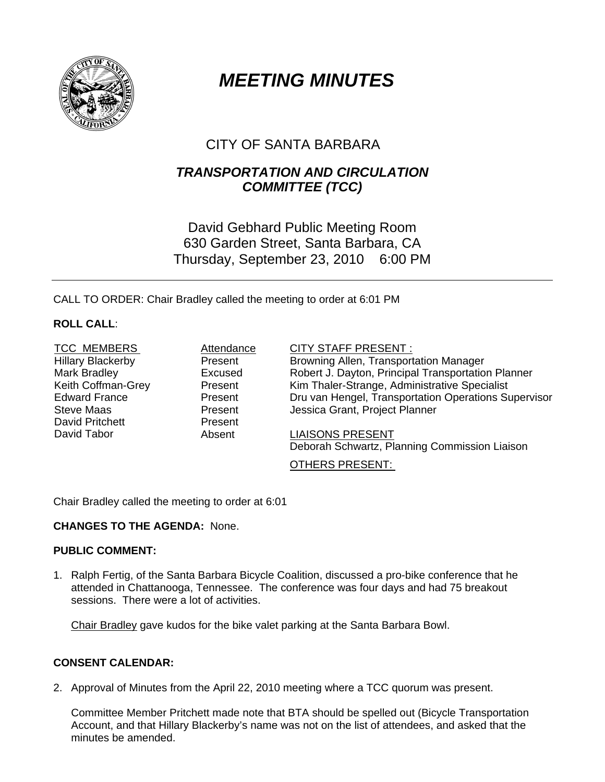

# *MEETING MINUTES*

# CITY OF SANTA BARBARA

# *TRANSPORTATION AND CIRCULATION COMMITTEE (TCC)*

# David Gebhard Public Meeting Room 630 Garden Street, Santa Barbara, CA Thursday, September 23, 2010 6:00 PM

CALL TO ORDER: Chair Bradley called the meeting to order at 6:01 PM

### **ROLL CALL**:

TCC MEMBERS MEMBERS Attendance CITY STAFF PRESENT :<br>
Hillarv Blackerbv Mesent Browning Allen, Transport David Pritchett **Present** 

Hillary Blackerby Present Browning Allen, Transportation Manager Mark Bradley Excused Robert J. Dayton, Principal Transportation Planner Keith Coffman-Grey **Present** Kim Thaler-Strange, Administrative Specialist Edward France Present Dru van Hengel, Transportation Operations Supervisor Steve Maas **Network** Present **Jessica Grant, Project Planner** 

David Tabor **Absent** LIAISONS PRESENT Deborah Schwartz, Planning Commission Liaison

OTHERS PRESENT:

Chair Bradley called the meeting to order at 6:01

### **CHANGES TO THE AGENDA:** None.

### **PUBLIC COMMENT:**

1. Ralph Fertig, of the Santa Barbara Bicycle Coalition, discussed a pro-bike conference that he attended in Chattanooga, Tennessee. The conference was four days and had 75 breakout sessions. There were a lot of activities.

Chair Bradley gave kudos for the bike valet parking at the Santa Barbara Bowl.

### **CONSENT CALENDAR:**

2. Approval of Minutes from the April 22, 2010 meeting where a TCC quorum was present.

Committee Member Pritchett made note that BTA should be spelled out (Bicycle Transportation Account, and that Hillary Blackerby's name was not on the list of attendees, and asked that the minutes be amended.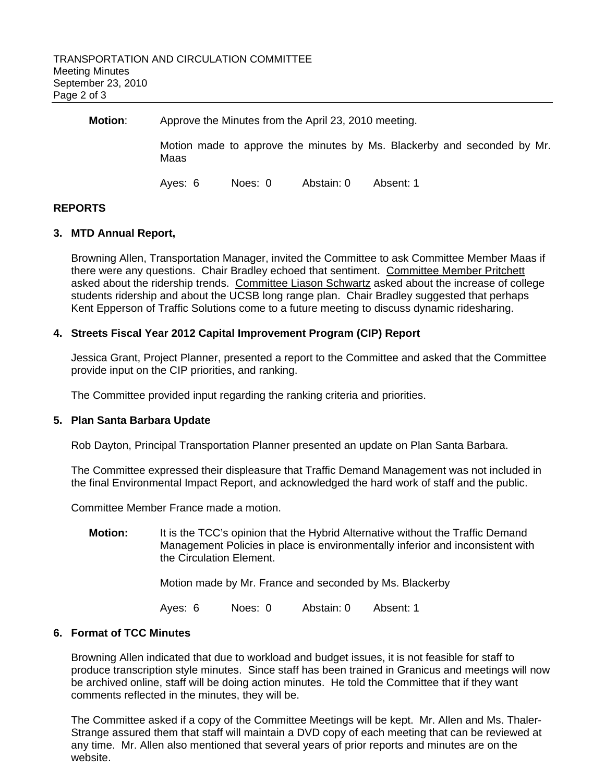| Motion: | Approve the Minutes from the April 23, 2010 meeting.                            |         |            |           |
|---------|---------------------------------------------------------------------------------|---------|------------|-----------|
|         | Motion made to approve the minutes by Ms. Blackerby and seconded by Mr.<br>Maas |         |            |           |
|         | Aves: 6                                                                         | Noes: 0 | Abstain: 0 | Absent: 1 |

#### **REPORTS**

#### **3. MTD Annual Report,**

Browning Allen, Transportation Manager, invited the Committee to ask Committee Member Maas if there were any questions. Chair Bradley echoed that sentiment. Committee Member Pritchett asked about the ridership trends. Committee Liason Schwartz asked about the increase of college students ridership and about the UCSB long range plan. Chair Bradley suggested that perhaps Kent Epperson of Traffic Solutions come to a future meeting to discuss dynamic ridesharing.

#### **4. Streets Fiscal Year 2012 Capital Improvement Program (CIP) Report**

Jessica Grant, Project Planner, presented a report to the Committee and asked that the Committee provide input on the CIP priorities, and ranking.

The Committee provided input regarding the ranking criteria and priorities.

#### **5. Plan Santa Barbara Update**

Rob Dayton, Principal Transportation Planner presented an update on Plan Santa Barbara.

 The Committee expressed their displeasure that Traffic Demand Management was not included in the final Environmental Impact Report, and acknowledged the hard work of staff and the public.

Committee Member France made a motion.

**Motion:** It is the TCC's opinion that the Hybrid Alternative without the Traffic Demand Management Policies in place is environmentally inferior and inconsistent with the Circulation Element.

Motion made by Mr. France and seconded by Ms. Blackerby

Ayes: 6 Noes: 0 Abstain: 0 Absent: 1

#### **6. Format of TCC Minutes**

Browning Allen indicated that due to workload and budget issues, it is not feasible for staff to produce transcription style minutes. Since staff has been trained in Granicus and meetings will now be archived online, staff will be doing action minutes. He told the Committee that if they want comments reflected in the minutes, they will be.

 The Committee asked if a copy of the Committee Meetings will be kept. Mr. Allen and Ms. Thaler-Strange assured them that staff will maintain a DVD copy of each meeting that can be reviewed at any time. Mr. Allen also mentioned that several years of prior reports and minutes are on the website.